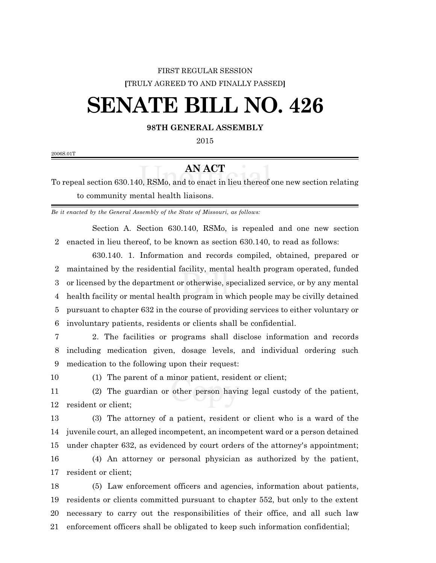## FIRST REGULAR SESSION **[**TRULY AGREED TO AND FINALLY PASSED**]**

## **SENATE BILL NO. 426**

## **98TH GENERAL ASSEMBLY**

2006S.01T

## **AN ACT**

To repeal section 630.140, RSMo, and to enact in lieu thereof one new section relating to community mental health liaisons.

*Be it enacted by the General Assembly of the State of Missouri, as follows:*

Section A. Section 630.140, RSMo, is repealed and one new section enacted in lieu thereof, to be known as section 630.140, to read as follows:

630.140. 1. Information and records compiled, obtained, prepared or maintained by the residential facility, mental health program operated, funded or licensed by the department or otherwise, specialized service, or by any mental health facility or mental health program in which people may be civilly detained pursuant to chapter 632 in the course of providing services to either voluntary or involuntary patients, residents or clients shall be confidential.

 2. The facilities or programs shall disclose information and records including medication given, dosage levels, and individual ordering such medication to the following upon their request:

(1) The parent of a minor patient, resident or client;

 (2) The guardian or other person having legal custody of the patient, resident or client;

 (3) The attorney of a patient, resident or client who is a ward of the juvenile court, an alleged incompetent, an incompetent ward or a person detained under chapter 632, as evidenced by court orders of the attorney's appointment; (4) An attorney or personal physician as authorized by the patient,

resident or client;

 (5) Law enforcement officers and agencies, information about patients, residents or clients committed pursuant to chapter 552, but only to the extent necessary to carry out the responsibilities of their office, and all such law enforcement officers shall be obligated to keep such information confidential;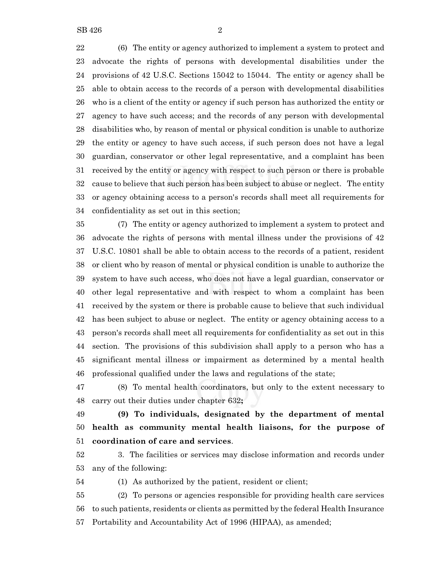(6) The entity or agency authorized to implement a system to protect and advocate the rights of persons with developmental disabilities under the provisions of 42 U.S.C. Sections 15042 to 15044. The entity or agency shall be able to obtain access to the records of a person with developmental disabilities who is a client of the entity or agency if such person has authorized the entity or agency to have such access; and the records of any person with developmental disabilities who, by reason of mental or physical condition is unable to authorize the entity or agency to have such access, if such person does not have a legal guardian, conservator or other legal representative, and a complaint has been received by the entity or agency with respect to such person or there is probable cause to believe that such person has been subject to abuse or neglect. The entity or agency obtaining access to a person's records shall meet all requirements for confidentiality as set out in this section;

 (7) The entity or agency authorized to implement a system to protect and advocate the rights of persons with mental illness under the provisions of 42 U.S.C. 10801 shall be able to obtain access to the records of a patient, resident or client who by reason of mental or physical condition is unable to authorize the system to have such access, who does not have a legal guardian, conservator or other legal representative and with respect to whom a complaint has been received by the system or there is probable cause to believe that such individual has been subject to abuse or neglect. The entity or agency obtaining access to a person's records shall meet all requirements for confidentiality as set out in this section. The provisions of this subdivision shall apply to a person who has a significant mental illness or impairment as determined by a mental health professional qualified under the laws and regulations of the state;

 (8) To mental health coordinators, but only to the extent necessary to carry out their duties under chapter 632**;**

 **(9) To individuals, designated by the department of mental health as community mental health liaisons, for the purpose of coordination of care and services**.

 3. The facilities or services may disclose information and records under any of the following:

(1) As authorized by the patient, resident or client;

 (2) To persons or agencies responsible for providing health care services to such patients, residents or clients as permitted by the federal Health Insurance Portability and Accountability Act of 1996 (HIPAA), as amended;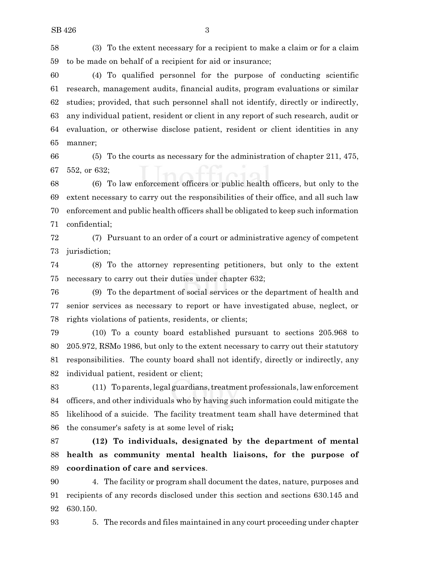(3) To the extent necessary for a recipient to make a claim or for a claim to be made on behalf of a recipient for aid or insurance;

 (4) To qualified personnel for the purpose of conducting scientific research, management audits, financial audits, program evaluations or similar studies; provided, that such personnel shall not identify, directly or indirectly, any individual patient, resident or client in any report of such research, audit or evaluation, or otherwise disclose patient, resident or client identities in any manner;

 (5) To the courts as necessary for the administration of chapter 211, 475, 552, or 632;

 (6) To law enforcement officers or public health officers, but only to the extent necessary to carry out the responsibilities of their office, and all such law enforcement and public health officers shall be obligated to keep such information confidential;

 (7) Pursuant to an order of a court or administrative agency of competent jurisdiction;

 (8) To the attorney representing petitioners, but only to the extent necessary to carry out their duties under chapter 632;

 (9) To the department of social services or the department of health and senior services as necessary to report or have investigated abuse, neglect, or rights violations of patients, residents, or clients;

 (10) To a county board established pursuant to sections 205.968 to 205.972, RSMo 1986, but only to the extent necessary to carry out their statutory responsibilities. The county board shall not identify, directly or indirectly, any individual patient, resident or client;

 (11) To parents, legal guardians,treatment professionals, lawenforcement officers, and other individuals who by having such information could mitigate the likelihood of a suicide. The facility treatment team shall have determined that the consumer's safety is at some level of risk**;**

 **(12) To individuals, designated by the department of mental health as community mental health liaisons, for the purpose of coordination of care and services**.

 4. The facility or program shall document the dates, nature, purposes and recipients of any records disclosed under this section and sections 630.145 and 630.150.

5. The records and files maintained in any court proceeding under chapter